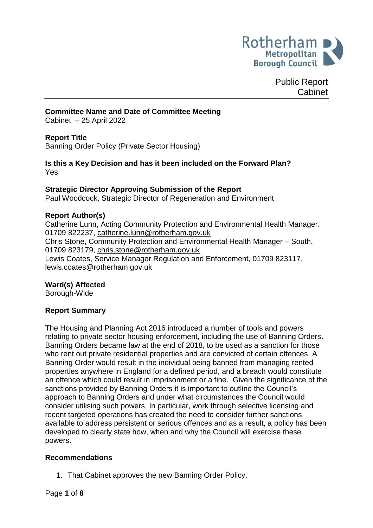

Public Report Cabinet

### **Committee Name and Date of Committee Meeting**

Cabinet – 25 April 2022

### **Report Title**

Banning Order Policy (Private Sector Housing)

**Is this a Key Decision and has it been included on the Forward Plan?** Yes

#### **Strategic Director Approving Submission of the Report**

Paul Woodcock, Strategic Director of Regeneration and Environment

#### **Report Author(s)**

Catherine Lunn, Acting Community Protection and Environmental Health Manager. 01709 822237, [catherine.lunn@rotherham.gov.uk](mailto:catherine.lunn@rotherham.gov.uk) Chris Stone, Community Protection and Environmental Health Manager – South, 01709 823179, [chris.stone@rotherham.gov.uk](mailto:chris.stone@rotherham.gov.uk) Lewis Coates, Service Manager Regulation and Enforcement, 01709 823117, lewis.coates@rotherham.gov.uk

#### **Ward(s) Affected**

Borough-Wide

### **Report Summary**

The Housing and Planning Act 2016 introduced a number of tools and powers relating to private sector housing enforcement, including the use of Banning Orders. Banning Orders became law at the end of 2018, to be used as a sanction for those who rent out private residential properties and are convicted of certain offences. A Banning Order would result in the individual being banned from managing rented properties anywhere in England for a defined period, and a breach would constitute an offence which could result in imprisonment or a fine. Given the significance of the sanctions provided by Banning Orders it is important to outline the Council's approach to Banning Orders and under what circumstances the Council would consider utilising such powers. In particular, work through selective licensing and recent targeted operations has created the need to consider further sanctions available to address persistent or serious offences and as a result, a policy has been developed to clearly state how, when and why the Council will exercise these powers.

#### **Recommendations**

1. That Cabinet approves the new Banning Order Policy.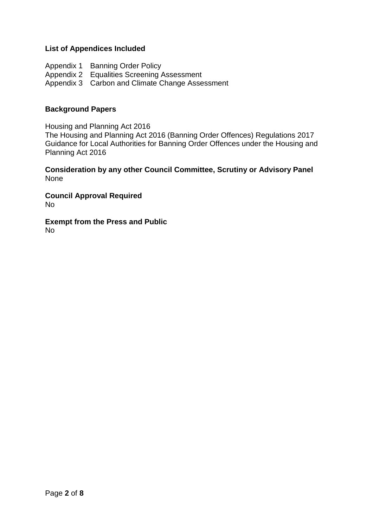### **List of Appendices Included**

Appendix 1 Banning Order Policy Appendix 2 Equalities Screening Assessment Appendix 3 Carbon and Climate Change Assessment

#### **Background Papers**

Housing and Planning Act 2016 The Housing and Planning Act 2016 (Banning Order Offences) Regulations 2017 Guidance for Local Authorities for Banning Order Offences under the Housing and Planning Act 2016

**Consideration by any other Council Committee, Scrutiny or Advisory Panel** None

**Council Approval Required** No

**Exempt from the Press and Public** No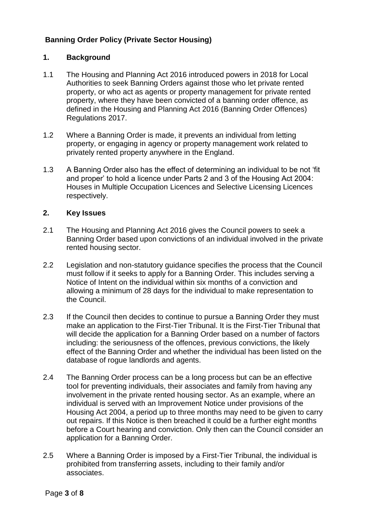# **Banning Order Policy (Private Sector Housing)**

## **1. Background**

- 1.1 The Housing and Planning Act 2016 introduced powers in 2018 for Local Authorities to seek Banning Orders against those who let private rented property, or who act as agents or property management for private rented property, where they have been convicted of a banning order offence, as defined in the Housing and Planning Act 2016 (Banning Order Offences) Regulations 2017.
- 1.2 Where a Banning Order is made, it prevents an individual from letting property, or engaging in agency or property management work related to privately rented property anywhere in the England.
- 1.3 A Banning Order also has the effect of determining an individual to be not 'fit and proper' to hold a licence under Parts 2 and 3 of the Housing Act 2004: Houses in Multiple Occupation Licences and Selective Licensing Licences respectively.

### **2. Key Issues**

- 2.1 The Housing and Planning Act 2016 gives the Council powers to seek a Banning Order based upon convictions of an individual involved in the private rented housing sector.
- 2.2 Legislation and non-statutory guidance specifies the process that the Council must follow if it seeks to apply for a Banning Order. This includes serving a Notice of Intent on the individual within six months of a conviction and allowing a minimum of 28 days for the individual to make representation to the Council.
- 2.3 If the Council then decides to continue to pursue a Banning Order they must make an application to the First-Tier Tribunal. It is the First-Tier Tribunal that will decide the application for a Banning Order based on a number of factors including: the seriousness of the offences, previous convictions, the likely effect of the Banning Order and whether the individual has been listed on the database of rogue landlords and agents.
- 2.4 The Banning Order process can be a long process but can be an effective tool for preventing individuals, their associates and family from having any involvement in the private rented housing sector. As an example, where an individual is served with an Improvement Notice under provisions of the Housing Act 2004, a period up to three months may need to be given to carry out repairs. If this Notice is then breached it could be a further eight months before a Court hearing and conviction. Only then can the Council consider an application for a Banning Order.
- 2.5 Where a Banning Order is imposed by a First-Tier Tribunal, the individual is prohibited from transferring assets, including to their family and/or associates.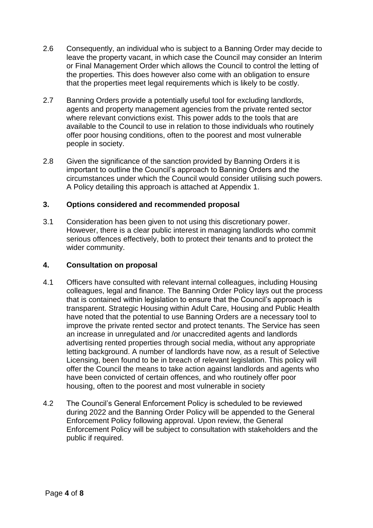- 2.6 Consequently, an individual who is subject to a Banning Order may decide to leave the property vacant, in which case the Council may consider an Interim or Final Management Order which allows the Council to control the letting of the properties. This does however also come with an obligation to ensure that the properties meet legal requirements which is likely to be costly.
- 2.7 Banning Orders provide a potentially useful tool for excluding landlords, agents and property management agencies from the private rented sector where relevant convictions exist. This power adds to the tools that are available to the Council to use in relation to those individuals who routinely offer poor housing conditions, often to the poorest and most vulnerable people in society.
- 2.8 Given the significance of the sanction provided by Banning Orders it is important to outline the Council's approach to Banning Orders and the circumstances under which the Council would consider utilising such powers. A Policy detailing this approach is attached at Appendix 1.

### **3. Options considered and recommended proposal**

3.1 Consideration has been given to not using this discretionary power. However, there is a clear public interest in managing landlords who commit serious offences effectively, both to protect their tenants and to protect the wider community.

### **4. Consultation on proposal**

- 4.1 Officers have consulted with relevant internal colleagues, including Housing colleagues, legal and finance. The Banning Order Policy lays out the process that is contained within legislation to ensure that the Council's approach is transparent. Strategic Housing within Adult Care, Housing and Public Health have noted that the potential to use Banning Orders are a necessary tool to improve the private rented sector and protect tenants. The Service has seen an increase in unregulated and /or unaccredited agents and landlords advertising rented properties through social media, without any appropriate letting background. A number of landlords have now, as a result of Selective Licensing, been found to be in breach of relevant legislation. This policy will offer the Council the means to take action against landlords and agents who have been convicted of certain offences, and who routinely offer poor housing, often to the poorest and most vulnerable in society
- 4.2 The Council's General Enforcement Policy is scheduled to be reviewed during 2022 and the Banning Order Policy will be appended to the General Enforcement Policy following approval. Upon review, the General Enforcement Policy will be subject to consultation with stakeholders and the public if required.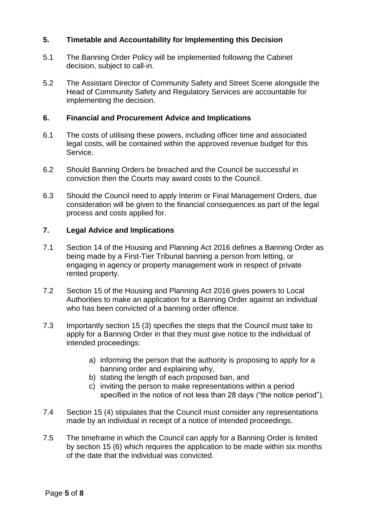## **5. Timetable and Accountability for Implementing this Decision**

- 5.1 The Banning Order Policy will be implemented following the Cabinet decision, subject to call-in.
- 5.2 The Assistant Director of Community Safety and Street Scene alongside the Head of Community Safety and Regulatory Services are accountable for implementing the decision.

### **6. Financial and Procurement Advice and Implications**

- 6.1 The costs of utilising these powers, including officer time and associated legal costs, will be contained within the approved revenue budget for this Service.
- 6.2 Should Banning Orders be breached and the Council be successful in conviction then the Courts may award costs to the Council.
- 6.3 Should the Council need to apply Interim or Final Management Orders, due consideration will be given to the financial consequences as part of the legal process and costs applied for.

### **7. Legal Advice and Implications**

- 7.1 Section 14 of the Housing and Planning Act 2016 defines a Banning Order as being made by a First-Tier Tribunal banning a person from letting, or engaging in agency or property management work in respect of private rented property.
- 7.2 Section 15 of the Housing and Planning Act 2016 gives powers to Local Authorities to make an application for a Banning Order against an individual who has been convicted of a banning order offence.
- 7.3 Importantly section 15 (3) specifies the steps that the Council must take to apply for a Banning Order in that they must give notice to the individual of intended proceedings:
	- a) informing the person that the authority is proposing to apply for a banning order and explaining why,
	- b) stating the length of each proposed ban, and
	- c) inviting the person to make representations within a period specified in the notice of not less than 28 days ("the notice period").
- 7.4 Section 15 (4) stipulates that the Council must consider any representations made by an individual in receipt of a notice of intended proceedings.
- 7.5 The timeframe in which the Council can apply for a Banning Order is limited by section 15 (6) which requires the application to be made within six months of the date that the individual was convicted.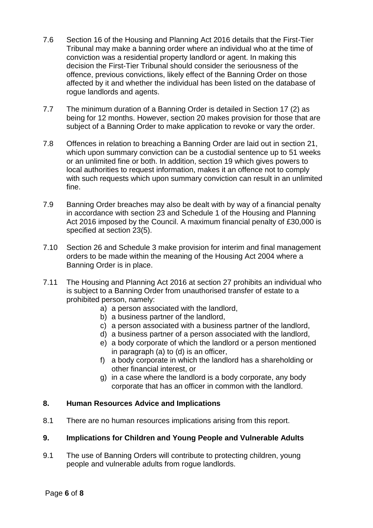- 7.6 Section 16 of the Housing and Planning Act 2016 details that the First-Tier Tribunal may make a banning order where an individual who at the time of conviction was a residential property landlord or agent. In making this decision the First-Tier Tribunal should consider the seriousness of the offence, previous convictions, likely effect of the Banning Order on those affected by it and whether the individual has been listed on the database of rogue landlords and agents.
- 7.7 The minimum duration of a Banning Order is detailed in Section 17 (2) as being for 12 months. However, section 20 makes provision for those that are subject of a Banning Order to make application to revoke or vary the order.
- 7.8 Offences in relation to breaching a Banning Order are laid out in section 21, which upon summary conviction can be a custodial sentence up to 51 weeks or an unlimited fine or both. In addition, section 19 which gives powers to local authorities to request information, makes it an offence not to comply with such requests which upon summary conviction can result in an unlimited fine.
- 7.9 Banning Order breaches may also be dealt with by way of a financial penalty in accordance with section 23 and Schedule 1 of the Housing and Planning Act 2016 imposed by the Council. A maximum financial penalty of £30,000 is specified at section 23(5).
- 7.10 Section 26 and Schedule 3 make provision for interim and final management orders to be made within the meaning of the Housing Act 2004 where a Banning Order is in place.
- 7.11 The Housing and Planning Act 2016 at section 27 prohibits an individual who is subject to a Banning Order from unauthorised transfer of estate to a prohibited person, namely:
	- a) a person associated with the landlord,
	- b) a business partner of the landlord,
	- c) a person associated with a business partner of the landlord,
	- d) a business partner of a person associated with the landlord,
	- e) a body corporate of which the landlord or a person mentioned in paragraph (a) to (d) is an officer,
	- f) a body corporate in which the landlord has a shareholding or other financial interest, or
	- g) in a case where the landlord is a body corporate, any body corporate that has an officer in common with the landlord.

# **8. Human Resources Advice and Implications**

8.1 There are no human resources implications arising from this report.

# **9. Implications for Children and Young People and Vulnerable Adults**

9.1 The use of Banning Orders will contribute to protecting children, young people and vulnerable adults from rogue landlords.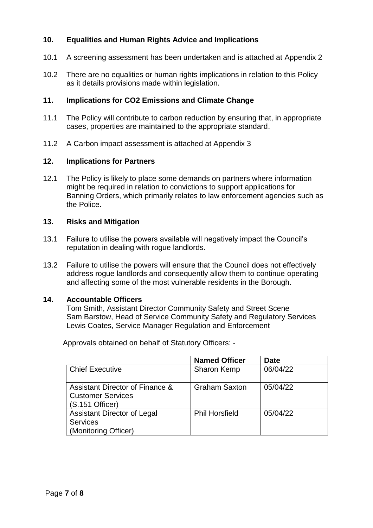# **10. Equalities and Human Rights Advice and Implications**

- 10.1 A screening assessment has been undertaken and is attached at Appendix 2
- 10.2 There are no equalities or human rights implications in relation to this Policy as it details provisions made within legislation.

# **11. Implications for CO2 Emissions and Climate Change**

- 11.1 The Policy will contribute to carbon reduction by ensuring that, in appropriate cases, properties are maintained to the appropriate standard.
- 11.2 A Carbon impact assessment is attached at Appendix 3

## **12. Implications for Partners**

12.1 The Policy is likely to place some demands on partners where information might be required in relation to convictions to support applications for Banning Orders, which primarily relates to law enforcement agencies such as the Police.

### **13. Risks and Mitigation**

- 13.1 Failure to utilise the powers available will negatively impact the Council's reputation in dealing with rogue landlords.
- 13.2 Failure to utilise the powers will ensure that the Council does not effectively address rogue landlords and consequently allow them to continue operating and affecting some of the most vulnerable residents in the Borough.

### **14. Accountable Officers**

Tom Smith, Assistant Director Community Safety and Street Scene Sam Barstow, Head of Service Community Safety and Regulatory Services Lewis Coates, Service Manager Regulation and Enforcement

Approvals obtained on behalf of Statutory Officers: -

|                                                                                  | <b>Named Officer</b>  | <b>Date</b> |
|----------------------------------------------------------------------------------|-----------------------|-------------|
| <b>Chief Executive</b>                                                           | <b>Sharon Kemp</b>    | 06/04/22    |
| Assistant Director of Finance &<br><b>Customer Services</b><br>$(S.151$ Officer) | <b>Graham Saxton</b>  | 05/04/22    |
| <b>Assistant Director of Legal</b><br><b>Services</b><br>(Monitoring Officer)    | <b>Phil Horsfield</b> | 05/04/22    |